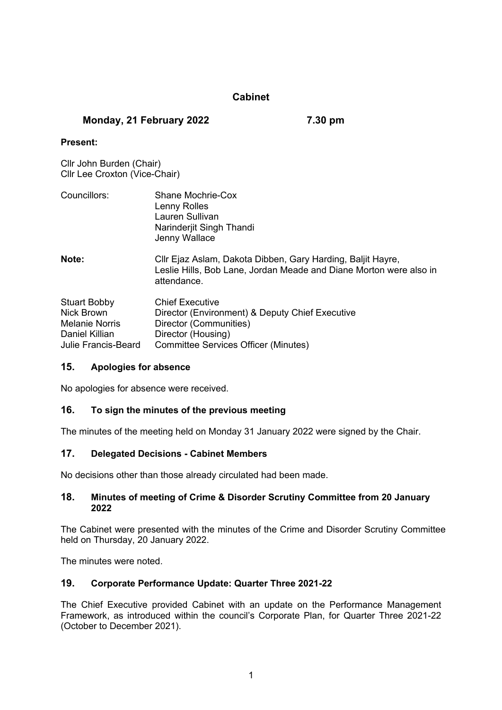# **Cabinet**

### **Monday, 21 February 2022 7.30 pm**

#### **Present:**

Cllr John Burden (Chair) Cllr Lee Croxton (Vice-Chair)

| Councillors:                      | Shane Mochrie-Cox<br>Lenny Rolles<br>Lauren Sullivan<br>Narinderjit Singh Thandi<br>Jenny Wallace                                                |
|-----------------------------------|--------------------------------------------------------------------------------------------------------------------------------------------------|
| Note:                             | Cllr Ejaz Aslam, Dakota Dibben, Gary Harding, Baljit Hayre,<br>Leslie Hills, Bob Lane, Jordan Meade and Diane Morton were also in<br>attendance. |
| <b>Stuart Bobby</b><br>Nick Brown | <b>Chief Executive</b><br>Director (Environment) & Deputy Chief Executive                                                                        |

Melanie Norris Director (Communities) Daniel Killian Director (Housing)

Julie Francis-Beard Committee Services Officer (Minutes)

#### **15. Apologies for absence**

No apologies for absence were received.

#### **16. To sign the minutes of the previous meeting**

The minutes of the meeting held on Monday 31 January 2022 were signed by the Chair.

#### **17. Delegated Decisions - Cabinet Members**

No decisions other than those already circulated had been made.

#### **18. Minutes of meeting of Crime & Disorder Scrutiny Committee from 20 January 2022**

The Cabinet were presented with the minutes of the Crime and Disorder Scrutiny Committee held on Thursday, 20 January 2022.

The minutes were noted.

#### **19. Corporate Performance Update: Quarter Three 2021-22**

The Chief Executive provided Cabinet with an update on the Performance Management Framework, as introduced within the council's Corporate Plan, for Quarter Three 2021-22 (October to December 2021).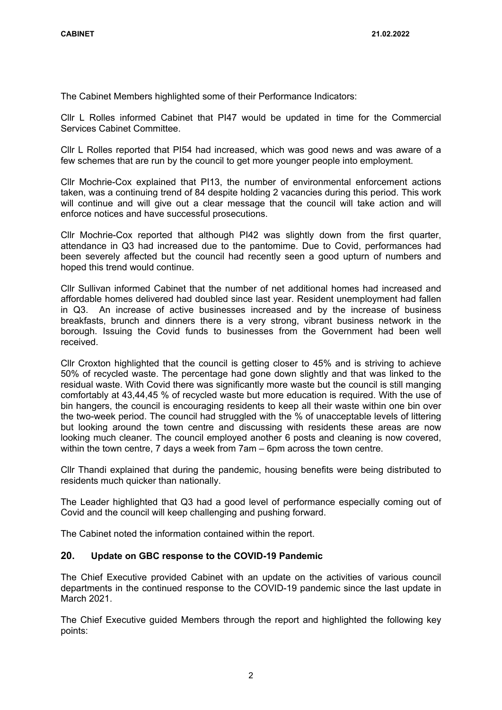The Cabinet Members highlighted some of their Performance Indicators:

Cllr L Rolles informed Cabinet that PI47 would be updated in time for the Commercial Services Cabinet Committee.

Cllr L Rolles reported that PI54 had increased, which was good news and was aware of a few schemes that are run by the council to get more younger people into employment.

Cllr Mochrie-Cox explained that PI13, the number of environmental enforcement actions taken, was a continuing trend of 84 despite holding 2 vacancies during this period. This work will continue and will give out a clear message that the council will take action and will enforce notices and have successful prosecutions.

Cllr Mochrie-Cox reported that although PI42 was slightly down from the first quarter, attendance in Q3 had increased due to the pantomime. Due to Covid, performances had been severely affected but the council had recently seen a good upturn of numbers and hoped this trend would continue.

Cllr Sullivan informed Cabinet that the number of net additional homes had increased and affordable homes delivered had doubled since last year. Resident unemployment had fallen in Q3. An increase of active businesses increased and by the increase of business breakfasts, brunch and dinners there is a very strong, vibrant business network in the borough. Issuing the Covid funds to businesses from the Government had been well received.

Cllr Croxton highlighted that the council is getting closer to 45% and is striving to achieve 50% of recycled waste. The percentage had gone down slightly and that was linked to the residual waste. With Covid there was significantly more waste but the council is still manging comfortably at 43,44,45 % of recycled waste but more education is required. With the use of bin hangers, the council is encouraging residents to keep all their waste within one bin over the two-week period. The council had struggled with the % of unacceptable levels of littering but looking around the town centre and discussing with residents these areas are now looking much cleaner. The council employed another 6 posts and cleaning is now covered, within the town centre, 7 days a week from 7am – 6pm across the town centre.

Cllr Thandi explained that during the pandemic, housing benefits were being distributed to residents much quicker than nationally.

The Leader highlighted that Q3 had a good level of performance especially coming out of Covid and the council will keep challenging and pushing forward.

The Cabinet noted the information contained within the report.

### **20. Update on GBC response to the COVID-19 Pandemic**

The Chief Executive provided Cabinet with an update on the activities of various council departments in the continued response to the COVID-19 pandemic since the last update in March 2021.

The Chief Executive guided Members through the report and highlighted the following key points: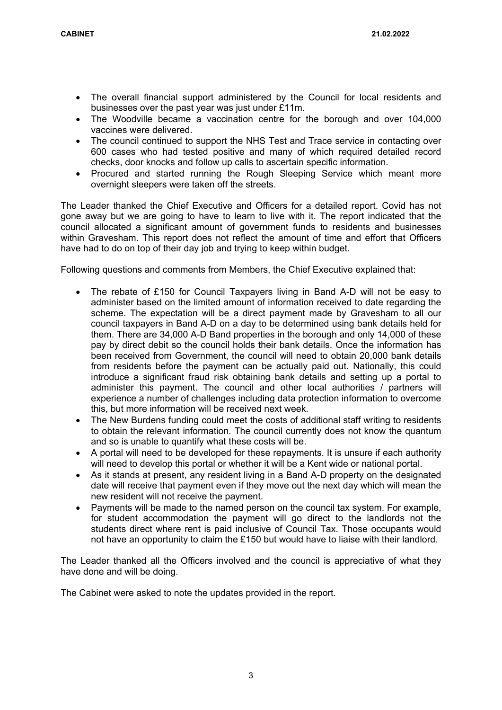- The overall financial support administered by the Council for local residents and businesses over the past year was just under £11m.
- The Woodville became a vaccination centre for the borough and over 104,000 vaccines were delivered.
- The council continued to support the NHS Test and Trace service in contacting over 600 cases who had tested positive and many of which required detailed record checks, door knocks and follow up calls to ascertain specific information.
- Procured and started running the Rough Sleeping Service which meant more overnight sleepers were taken off the streets.

The Leader thanked the Chief Executive and Officers for a detailed report. Covid has not gone away but we are going to have to learn to live with it. The report indicated that the council allocated a significant amount of government funds to residents and businesses within Gravesham. This report does not reflect the amount of time and effort that Officers have had to do on top of their day job and trying to keep within budget.

Following questions and comments from Members, the Chief Executive explained that:

- The rebate of £150 for Council Taxpayers living in Band A-D will not be easy to administer based on the limited amount of information received to date regarding the scheme. The expectation will be a direct payment made by Gravesham to all our council taxpayers in Band A-D on a day to be determined using bank details held for them. There are 34,000 A-D Band properties in the borough and only 14,000 of these pay by direct debit so the council holds their bank details. Once the information has been received from Government, the council will need to obtain 20,000 bank details from residents before the payment can be actually paid out. Nationally, this could introduce a significant fraud risk obtaining bank details and setting up a portal to administer this payment. The council and other local authorities / partners will experience a number of challenges including data protection information to overcome this, but more information will be received next week.
- The New Burdens funding could meet the costs of additional staff writing to residents to obtain the relevant information. The council currently does not know the quantum and so is unable to quantify what these costs will be.
- A portal will need to be developed for these repayments. It is unsure if each authority will need to develop this portal or whether it will be a Kent wide or national portal.
- As it stands at present, any resident living in a Band A-D property on the designated date will receive that payment even if they move out the next day which will mean the new resident will not receive the payment.
- Payments will be made to the named person on the council tax system. For example, for student accommodation the payment will go direct to the landlords not the students direct where rent is paid inclusive of Council Tax. Those occupants would not have an opportunity to claim the £150 but would have to liaise with their landlord.

The Leader thanked all the Officers involved and the council is appreciative of what they have done and will be doing.

The Cabinet were asked to note the updates provided in the report.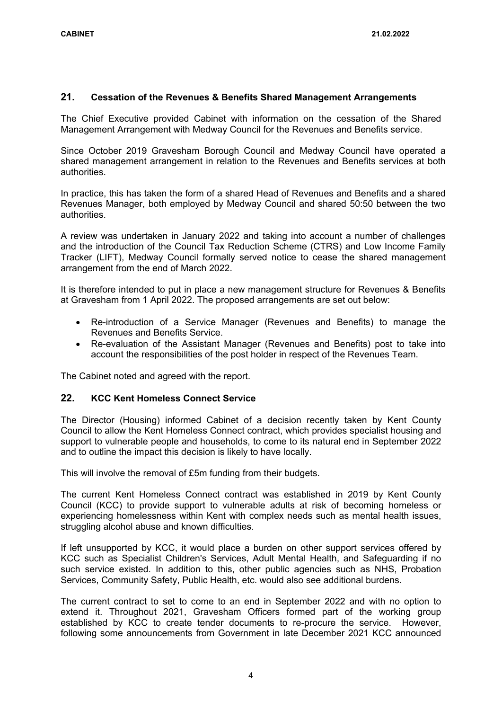#### **21. Cessation of the Revenues & Benefits Shared Management Arrangements**

The Chief Executive provided Cabinet with information on the cessation of the Shared Management Arrangement with Medway Council for the Revenues and Benefits service.

Since October 2019 Gravesham Borough Council and Medway Council have operated a shared management arrangement in relation to the Revenues and Benefits services at both authorities.

In practice, this has taken the form of a shared Head of Revenues and Benefits and a shared Revenues Manager, both employed by Medway Council and shared 50:50 between the two authorities.

A review was undertaken in January 2022 and taking into account a number of challenges and the introduction of the Council Tax Reduction Scheme (CTRS) and Low Income Family Tracker (LIFT), Medway Council formally served notice to cease the shared management arrangement from the end of March 2022.

It is therefore intended to put in place a new management structure for Revenues & Benefits at Gravesham from 1 April 2022. The proposed arrangements are set out below:

- Re-introduction of a Service Manager (Revenues and Benefits) to manage the Revenues and Benefits Service.
- Re-evaluation of the Assistant Manager (Revenues and Benefits) post to take into account the responsibilities of the post holder in respect of the Revenues Team.

The Cabinet noted and agreed with the report.

#### **22. KCC Kent Homeless Connect Service**

The Director (Housing) informed Cabinet of a decision recently taken by Kent County Council to allow the Kent Homeless Connect contract, which provides specialist housing and support to vulnerable people and households, to come to its natural end in September 2022 and to outline the impact this decision is likely to have locally.

This will involve the removal of £5m funding from their budgets.

The current Kent Homeless Connect contract was established in 2019 by Kent County Council (KCC) to provide support to vulnerable adults at risk of becoming homeless or experiencing homelessness within Kent with complex needs such as mental health issues, struggling alcohol abuse and known difficulties.

If left unsupported by KCC, it would place a burden on other support services offered by KCC such as Specialist Children's Services, Adult Mental Health, and Safeguarding if no such service existed. In addition to this, other public agencies such as NHS, Probation Services, Community Safety, Public Health, etc. would also see additional burdens.

The current contract to set to come to an end in September 2022 and with no option to extend it. Throughout 2021, Gravesham Officers formed part of the working group established by KCC to create tender documents to re-procure the service. However, following some announcements from Government in late December 2021 KCC announced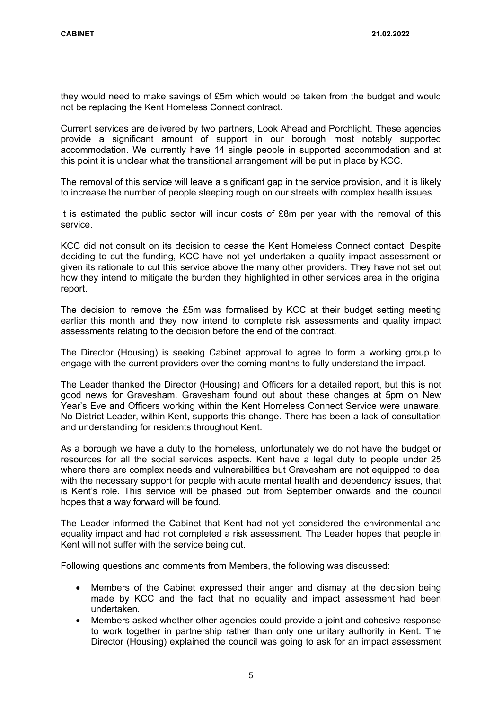they would need to make savings of £5m which would be taken from the budget and would not be replacing the Kent Homeless Connect contract.

Current services are delivered by two partners, Look Ahead and Porchlight. These agencies provide a significant amount of support in our borough most notably supported accommodation. We currently have 14 single people in supported accommodation and at this point it is unclear what the transitional arrangement will be put in place by KCC.

The removal of this service will leave a significant gap in the service provision, and it is likely to increase the number of people sleeping rough on our streets with complex health issues.

It is estimated the public sector will incur costs of £8m per year with the removal of this service.

KCC did not consult on its decision to cease the Kent Homeless Connect contact. Despite deciding to cut the funding, KCC have not yet undertaken a quality impact assessment or given its rationale to cut this service above the many other providers. They have not set out how they intend to mitigate the burden they highlighted in other services area in the original report.

The decision to remove the £5m was formalised by KCC at their budget setting meeting earlier this month and they now intend to complete risk assessments and quality impact assessments relating to the decision before the end of the contract.

The Director (Housing) is seeking Cabinet approval to agree to form a working group to engage with the current providers over the coming months to fully understand the impact.

The Leader thanked the Director (Housing) and Officers for a detailed report, but this is not good news for Gravesham. Gravesham found out about these changes at 5pm on New Year's Eve and Officers working within the Kent Homeless Connect Service were unaware. No District Leader, within Kent, supports this change. There has been a lack of consultation and understanding for residents throughout Kent.

As a borough we have a duty to the homeless, unfortunately we do not have the budget or resources for all the social services aspects. Kent have a legal duty to people under 25 where there are complex needs and vulnerabilities but Gravesham are not equipped to deal with the necessary support for people with acute mental health and dependency issues, that is Kent's role. This service will be phased out from September onwards and the council hopes that a way forward will be found.

The Leader informed the Cabinet that Kent had not yet considered the environmental and equality impact and had not completed a risk assessment. The Leader hopes that people in Kent will not suffer with the service being cut.

Following questions and comments from Members, the following was discussed:

- Members of the Cabinet expressed their anger and dismay at the decision being made by KCC and the fact that no equality and impact assessment had been undertaken.
- Members asked whether other agencies could provide a joint and cohesive response to work together in partnership rather than only one unitary authority in Kent. The Director (Housing) explained the council was going to ask for an impact assessment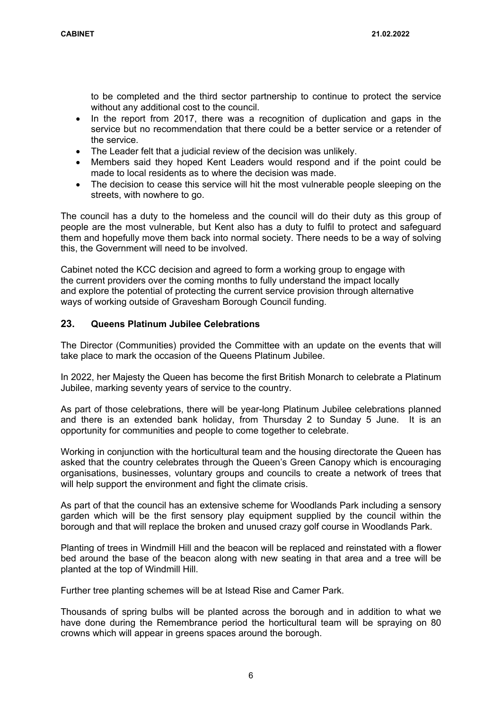to be completed and the third sector partnership to continue to protect the service without any additional cost to the council.

- In the report from 2017, there was a recognition of duplication and gaps in the service but no recommendation that there could be a better service or a retender of the service.
- The Leader felt that a judicial review of the decision was unlikely.
- Members said they hoped Kent Leaders would respond and if the point could be made to local residents as to where the decision was made.
- The decision to cease this service will hit the most vulnerable people sleeping on the streets, with nowhere to go.

The council has a duty to the homeless and the council will do their duty as this group of people are the most vulnerable, but Kent also has a duty to fulfil to protect and safeguard them and hopefully move them back into normal society. There needs to be a way of solving this, the Government will need to be involved.

Cabinet noted the KCC decision and agreed to form a working group to engage with the current providers over the coming months to fully understand the impact locally and explore the potential of protecting the current service provision through alternative ways of working outside of Gravesham Borough Council funding.

### **23. Queens Platinum Jubilee Celebrations**

The Director (Communities) provided the Committee with an update on the events that will take place to mark the occasion of the Queens Platinum Jubilee.

In 2022, her Majesty the Queen has become the first British Monarch to celebrate a Platinum Jubilee, marking seventy years of service to the country.

As part of those celebrations, there will be year-long Platinum Jubilee celebrations planned and there is an extended bank holiday, from Thursday 2 to Sunday 5 June. It is an opportunity for communities and people to come together to celebrate.

Working in conjunction with the horticultural team and the housing directorate the Queen has asked that the country celebrates through the Queen's Green Canopy which is encouraging organisations, businesses, voluntary groups and councils to create a network of trees that will help support the environment and fight the climate crisis.

As part of that the council has an extensive scheme for Woodlands Park including a sensory garden which will be the first sensory play equipment supplied by the council within the borough and that will replace the broken and unused crazy golf course in Woodlands Park.

Planting of trees in Windmill Hill and the beacon will be replaced and reinstated with a flower bed around the base of the beacon along with new seating in that area and a tree will be planted at the top of Windmill Hill.

Further tree planting schemes will be at Istead Rise and Camer Park.

Thousands of spring bulbs will be planted across the borough and in addition to what we have done during the Remembrance period the horticultural team will be spraying on 80 crowns which will appear in greens spaces around the borough.